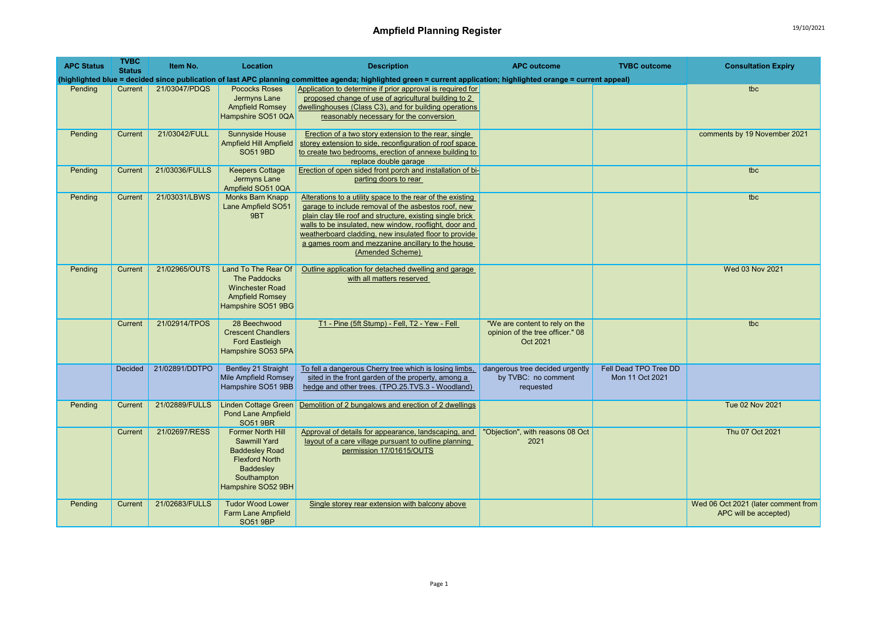| <b>APC Status</b> | <b>TVBC</b><br><b>Status</b> | Item No.       | Location                                                                                                                                            | <b>Description</b>                                                                                                                                                                                                                                                                                                                                                         | <b>APC outcome</b>                                                             | <b>TVBC</b> outcome                      | <b>Consultation Expiry</b>                                   |
|-------------------|------------------------------|----------------|-----------------------------------------------------------------------------------------------------------------------------------------------------|----------------------------------------------------------------------------------------------------------------------------------------------------------------------------------------------------------------------------------------------------------------------------------------------------------------------------------------------------------------------------|--------------------------------------------------------------------------------|------------------------------------------|--------------------------------------------------------------|
|                   |                              |                |                                                                                                                                                     | (highlighted blue = decided since publication of last APC planning committee agenda; highlighted green = current application; highlighted orange = current appeal)                                                                                                                                                                                                         |                                                                                |                                          |                                                              |
| Pending           | Current                      | 21/03047/PDQS  | <b>Pococks Roses</b><br>Jermyns Lane<br><b>Ampfield Romsey</b><br>Hampshire SO51 0QA                                                                | Application to determine if prior approval is required for<br>proposed change of use of agricultural building to 2<br>dwellinghouses (Class C3), and for building operations<br>reasonably necessary for the conversion                                                                                                                                                    |                                                                                |                                          | tbc                                                          |
| Pending           | Current                      | 21/03042/FULL  | <b>Sunnyside House</b><br>Ampfield Hill Ampfield<br><b>SO51 9BD</b>                                                                                 | Erection of a two story extension to the rear, single<br>storey extension to side, reconfiguration of roof space<br>to create two bedrooms, erection of annexe building to<br>replace double garage                                                                                                                                                                        |                                                                                |                                          | comments by 19 November 2021                                 |
| Pending           | Current                      | 21/03036/FULLS | <b>Keepers Cottage</b><br>Jermyns Lane<br>Ampfield SO51 0QA                                                                                         | Erection of open sided front porch and installation of bi-<br>parting doors to rear                                                                                                                                                                                                                                                                                        |                                                                                |                                          | tbc                                                          |
| Pending           | Current                      | 21/03031/LBWS  | <b>Monks Barn Knapp</b><br>Lane Ampfield SO51<br>9BT                                                                                                | Alterations to a utility space to the rear of the existing<br>garage to include removal of the asbestos roof, new<br>plain clay tile roof and structure, existing single brick<br>walls to be insulated, new window, rooflight, door and<br>weatherboard cladding, new insulated floor to provide<br>a games room and mezzanine ancillary to the house<br>(Amended Scheme) |                                                                                |                                          | tbc                                                          |
| Pending           | Current                      | 21/02965/OUTS  | Land To The Rear Of<br><b>The Paddocks</b><br><b>Winchester Road</b><br><b>Ampfield Romsey</b><br>Hampshire SO51 9BG                                | Outline application for detached dwelling and garage<br>with all matters reserved                                                                                                                                                                                                                                                                                          |                                                                                |                                          | Wed 03 Nov 2021                                              |
|                   | Current                      | 21/02914/TPOS  | 28 Beechwood<br><b>Crescent Chandlers</b><br><b>Ford Eastleigh</b><br>Hampshire SO53 5PA                                                            | T1 - Pine (5ft Stump) - Fell, T2 - Yew - Fell                                                                                                                                                                                                                                                                                                                              | "We are content to rely on the<br>opinion of the tree officer." 08<br>Oct 2021 |                                          | tbc                                                          |
|                   | Decided                      | 21/02891/DDTPO | Bentley 21 Straight<br><b>Mile Ampfield Romsey</b><br>Hampshire SO51 9BB                                                                            | To fell a dangerous Cherry tree which is losing limbs,<br>sited in the front garden of the property, among a<br>hedge and other trees. (TPO.25.TVS.3 - Woodland)                                                                                                                                                                                                           | dangerous tree decided urgently<br>by TVBC: no comment<br>requested            | Fell Dead TPO Tree DD<br>Mon 11 Oct 2021 |                                                              |
| Pending           | Current                      | 21/02889/FULLS | <b>Linden Cottage Green</b><br><b>Pond Lane Ampfield</b><br><b>SO51 9BR</b>                                                                         | Demolition of 2 bungalows and erection of 2 dwellings                                                                                                                                                                                                                                                                                                                      |                                                                                |                                          | Tue 02 Nov 2021                                              |
|                   | Current                      | 21/02697/RESS  | <b>Former North Hill</b><br><b>Sawmill Yard</b><br><b>Baddesley Road</b><br><b>Flexford North</b><br>Baddesley<br>Southampton<br>Hampshire SO52 9BH | Approval of details for appearance, landscaping, and<br>layout of a care village pursuant to outline planning<br>permission 17/01615/OUTS                                                                                                                                                                                                                                  | "Objection", with reasons 08 Oct<br>2021                                       |                                          | Thu 07 Oct 2021                                              |
| Pending           | Current                      | 21/02683/FULLS | <b>Tudor Wood Lower</b><br><b>Farm Lane Ampfield</b><br><b>SO51 9BP</b>                                                                             | Single storey rear extension with balcony above                                                                                                                                                                                                                                                                                                                            |                                                                                |                                          | Wed 06 Oct 2021 (later comment from<br>APC will be accepted) |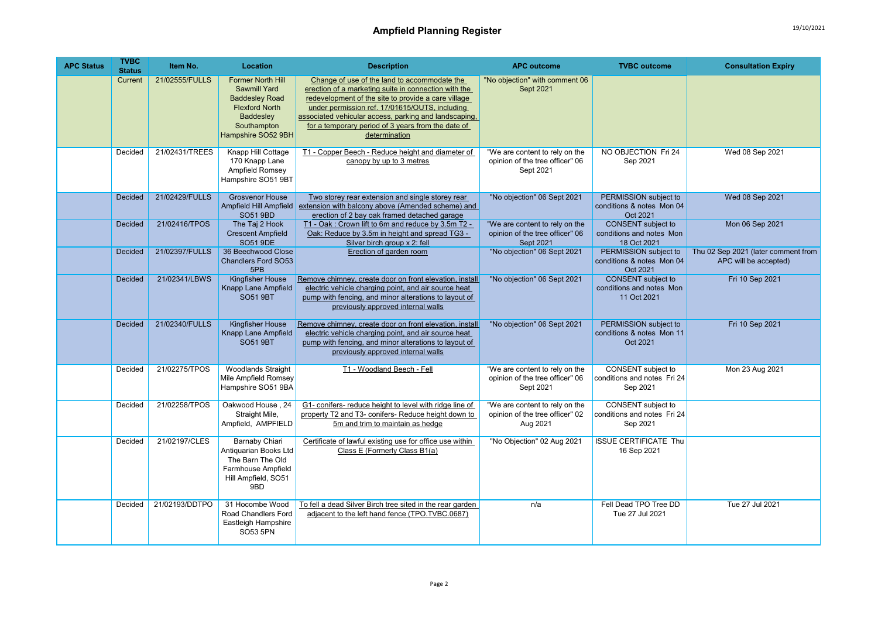## Ampfield Planning Register **19/10/2021**

| <b>APC Status</b> | <b>TVBC</b><br><b>Status</b> | Item No.       | Location                                                                                                                                            | <b>Description</b>                                                                                                                                                                                                                                                                                                                            | <b>APC outcome</b>                                                             | <b>TVBC</b> outcome                                                  | <b>Consultation Expiry</b>                                   |
|-------------------|------------------------------|----------------|-----------------------------------------------------------------------------------------------------------------------------------------------------|-----------------------------------------------------------------------------------------------------------------------------------------------------------------------------------------------------------------------------------------------------------------------------------------------------------------------------------------------|--------------------------------------------------------------------------------|----------------------------------------------------------------------|--------------------------------------------------------------|
|                   | Current                      | 21/02555/FULLS | <b>Former North Hill</b><br><b>Sawmill Yard</b><br><b>Baddesley Road</b><br><b>Flexford North</b><br>Baddesley<br>Southampton<br>Hampshire SO52 9BH | Change of use of the land to accommodate the<br>erection of a marketing suite in connection with the<br>redevelopment of the site to provide a care village<br>under permission ref. 17/01615/OUTS, including<br>associated vehicular access, parking and landscaping,<br>for a temporary period of 3 years from the date of<br>determination | "No objection" with comment 06<br>Sept 2021                                    |                                                                      |                                                              |
|                   | Decided                      | 21/02431/TREES | Knapp Hill Cottage<br>170 Knapp Lane<br>Ampfield Romsey<br>Hampshire SO51 9BT                                                                       | T1 - Copper Beech - Reduce height and diameter of<br>canopy by up to 3 metres                                                                                                                                                                                                                                                                 | "We are content to rely on the<br>opinion of the tree officer" 06<br>Sept 2021 | NO OBJECTION Fri 24<br>Sep 2021                                      | Wed 08 Sep 2021                                              |
|                   | <b>Decided</b>               | 21/02429/FULLS | <b>Grosvenor House</b><br>Ampfield Hill Ampfield<br><b>SO51 9BD</b>                                                                                 | Two storey rear extension and single storey rear<br>extension with balcony above (Amended scheme) and<br>erection of 2 bay oak framed detached garage                                                                                                                                                                                         | "No objection" 06 Sept 2021                                                    | PERMISSION subject to<br>conditions & notes Mon 04<br>Oct 2021       | Wed 08 Sep 2021                                              |
|                   | Decided                      | 21/02416/TPOS  | The Taj 2 Hook<br><b>Crescent Ampfield</b><br>SO51 9DE                                                                                              | T1 - Oak: Crown lift to 6m and reduce by 3.5m T2 -<br>Oak: Reduce by 3.5m in height and spread TG3 -<br>Silver birch group x 2: fell                                                                                                                                                                                                          | "We are content to rely on the<br>opinion of the tree officer" 06<br>Sept 2021 | CONSENT subject to<br>conditions and notes Mon<br>18 Oct 2021        | Mon 06 Sep 2021                                              |
|                   | Decided                      | 21/02397/FULLS | 36 Beechwood Close<br><b>Chandlers Ford SO53</b><br>5PB                                                                                             | Erection of garden room                                                                                                                                                                                                                                                                                                                       | "No objection" 06 Sept 2021                                                    | PERMISSION subject to<br>conditions & notes Mon 04<br>Oct 2021       | Thu 02 Sep 2021 (later comment from<br>APC will be accepted) |
|                   | Decided                      | 21/02341/LBWS  | <b>Kingfisher House</b><br>Knapp Lane Ampfield<br><b>SO51 9BT</b>                                                                                   | Remove chimney, create door on front elevation, install<br>electric vehicle charging point, and air source heat<br>pump with fencing, and minor alterations to layout of<br>previously approved internal walls                                                                                                                                | "No objection" 06 Sept 2021                                                    | <b>CONSENT</b> subject to<br>conditions and notes Mon<br>11 Oct 2021 | Fri 10 Sep 2021                                              |
|                   | Decided                      | 21/02340/FULLS | Kingfisher House<br>Knapp Lane Ampfield<br><b>SO51 9BT</b>                                                                                          | Remove chimney, create door on front elevation, install<br>electric vehicle charging point, and air source heat<br>pump with fencing, and minor alterations to layout of<br>previously approved internal walls                                                                                                                                | "No objection" 06 Sept 2021                                                    | PERMISSION subject to<br>conditions & notes Mon 11<br>Oct 2021       | Fri 10 Sep 2021                                              |
|                   | Decided                      | 21/02275/TPOS  | <b>Woodlands Straight</b><br>Mile Ampfield Romsey<br>Hampshire SO51 9BA                                                                             | T1 - Woodland Beech - Fell                                                                                                                                                                                                                                                                                                                    | "We are content to rely on the<br>opinion of the tree officer" 06<br>Sept 2021 | CONSENT subject to<br>conditions and notes Fri 24<br>Sep 2021        | Mon 23 Aug 2021                                              |
|                   | Decided                      | 21/02258/TPOS  | Oakwood House, 24<br>Straight Mile,<br>Ampfield, AMPFIELD                                                                                           | G1- conifers- reduce height to level with ridge line of<br>property T2 and T3- conifers- Reduce height down to<br>5m and trim to maintain as hedge                                                                                                                                                                                            | "We are content to rely on the<br>opinion of the tree officer" 02<br>Aug 2021  | CONSENT subject to<br>conditions and notes Fri 24<br>Sep 2021        |                                                              |
|                   | Decided                      | 21/02197/CLES  | Barnaby Chiari<br>Antiquarian Books Ltd<br>The Barn The Old<br>Farmhouse Ampfield<br>Hill Ampfield, SO51<br>9BD                                     | Certificate of lawful existing use for office use within<br>Class E (Formerly Class B1(a)                                                                                                                                                                                                                                                     | "No Objection" 02 Aug 2021                                                     | <b>ISSUE CERTIFICATE Thu</b><br>16 Sep 2021                          |                                                              |
|                   | Decided                      | 21/02193/DDTPO | 31 Hocombe Wood<br>Road Chandlers Ford<br>Eastleigh Hampshire<br>SO53 5PN                                                                           | To fell a dead Silver Birch tree sited in the rear garden<br>adjacent to the left hand fence (TPO.TVBC.0687)                                                                                                                                                                                                                                  | n/a                                                                            | Fell Dead TPO Tree DD<br>Tue 27 Jul 2021                             | Tue 27 Jul 2021                                              |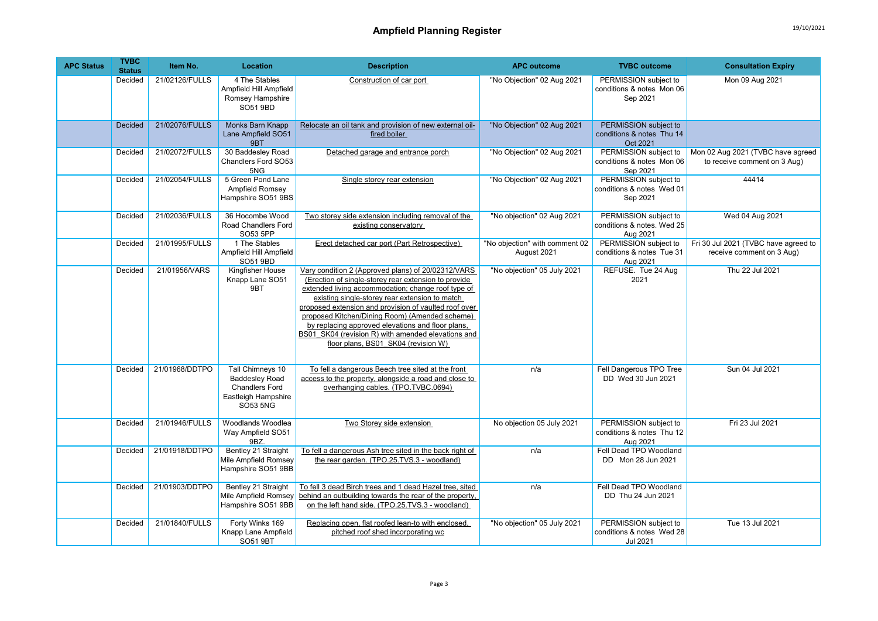| <b>APC Status</b> | <b>TVBC</b><br><b>Status</b> | Item No.       | Location                                                                                                     | <b>Description</b>                                                                                                                                                                                                                                                                                                                                                                                                                                                               | <b>APC outcome</b>                            | <b>TVBC</b> outcome                                             | <b>Consultation Expiry</b>                                        |
|-------------------|------------------------------|----------------|--------------------------------------------------------------------------------------------------------------|----------------------------------------------------------------------------------------------------------------------------------------------------------------------------------------------------------------------------------------------------------------------------------------------------------------------------------------------------------------------------------------------------------------------------------------------------------------------------------|-----------------------------------------------|-----------------------------------------------------------------|-------------------------------------------------------------------|
|                   | Decided                      | 21/02126/FULLS | 4 The Stables<br>Ampfield Hill Ampfield<br>Romsey Hampshire<br>SO51 9BD                                      | Construction of car port                                                                                                                                                                                                                                                                                                                                                                                                                                                         | "No Objection" 02 Aug 2021                    | PERMISSION subject to<br>conditions & notes Mon 06<br>Sep 2021  | Mon 09 Aug 2021                                                   |
|                   | Decided                      | 21/02076/FULLS | Monks Barn Knapp<br>Lane Ampfield SO51<br>9BT                                                                | Relocate an oil tank and provision of new external oil-<br>fired boiler                                                                                                                                                                                                                                                                                                                                                                                                          | "No Objection" 02 Aug 2021                    | PERMISSION subject to<br>conditions & notes Thu 14<br>Oct 2021  |                                                                   |
|                   | Decided                      | 21/02072/FULLS | 30 Baddesley Road<br>Chandlers Ford SO53<br>5NG                                                              | Detached garage and entrance porch                                                                                                                                                                                                                                                                                                                                                                                                                                               | "No Objection" 02 Aug 2021                    | PERMISSION subject to<br>conditions & notes Mon 06<br>Sep 2021  | Mon 02 Aug 2021 (TVBC have agreed<br>to receive comment on 3 Aug) |
|                   | Decided                      | 21/02054/FULLS | 5 Green Pond Lane<br>Ampfield Romsey<br>Hampshire SO51 9BS                                                   | Single storey rear extension                                                                                                                                                                                                                                                                                                                                                                                                                                                     | "No Objection" 02 Aug 2021                    | PERMISSION subject to<br>conditions & notes Wed 01<br>Sep 2021  | 44414                                                             |
|                   | Decided                      | 21/02036/FULLS | 36 Hocombe Wood<br>Road Chandlers Ford<br>SO53 5PP                                                           | Two storey side extension including removal of the<br>existing conservatory                                                                                                                                                                                                                                                                                                                                                                                                      | "No objection" 02 Aug 2021                    | PERMISSION subject to<br>conditions & notes. Wed 25<br>Aug 2021 | Wed 04 Aug 2021                                                   |
|                   | Decided                      | 21/01995/FULLS | 1 The Stables<br>Ampfield Hill Ampfield<br>SO51 9BD                                                          | Erect detached car port (Part Retrospective)                                                                                                                                                                                                                                                                                                                                                                                                                                     | "No objection" with comment 02<br>August 2021 | PERMISSION subject to<br>conditions & notes Tue 31<br>Aug 2021  | Fri 30 Jul 2021 (TVBC have agreed to<br>receive comment on 3 Aug) |
|                   | Decided                      | 21/01956/VARS  | Kingfisher House<br>Knapp Lane SO51<br>9BT                                                                   | Vary condition 2 (Approved plans) of 20/02312/VARS<br>(Erection of single-storey rear extension to provide)<br>extended living accommodation; change roof type of<br>existing single-storey rear extension to match<br>proposed extension and provision of vaulted roof over<br>proposed Kitchen/Dining Room) (Amended scheme)<br>by replacing approved elevations and floor plans,<br>BS01 SK04 (revision R) with amended elevations and<br>floor plans, BS01 SK04 (revision W) | "No objection" 05 July 2021                   | REFUSE. Tue 24 Aug<br>2021                                      | Thu 22 Jul 2021                                                   |
|                   | Decided                      | 21/01968/DDTPO | Tall Chimneys 10<br><b>Baddesley Road</b><br><b>Chandlers Ford</b><br>Eastleigh Hampshire<br><b>SO53 5NG</b> | To fell a dangerous Beech tree sited at the front<br>access to the property, alongside a road and close to<br>overhanging cables. (TPO.TVBC.0694)                                                                                                                                                                                                                                                                                                                                | n/a                                           | Fell Dangerous TPO Tree<br>DD Wed 30 Jun 2021                   | Sun 04 Jul 2021                                                   |
|                   | Decided                      | 21/01946/FULLS | Woodlands Woodlea<br>Way Ampfield SO51<br>9BZ.                                                               | Two Storey side extension                                                                                                                                                                                                                                                                                                                                                                                                                                                        | No objection 05 July 2021                     | PERMISSION subject to<br>conditions & notes Thu 12<br>Aug 2021  | Fri 23 Jul 2021                                                   |
|                   | Decided                      | 21/01918/DDTPO | Bentley 21 Straight<br>Mile Ampfield Romsey<br>Hampshire SO51 9BB                                            | To fell a dangerous Ash tree sited in the back right of<br>the rear garden. (TPO.25.TVS.3 - woodland)                                                                                                                                                                                                                                                                                                                                                                            | n/a                                           | Fell Dead TPO Woodland<br>DD Mon 28 Jun 2021                    |                                                                   |
|                   | Decided                      | 21/01903/DDTPO | Bentley 21 Straight<br>Mile Ampfield Romsey<br>Hampshire SO51 9BB                                            | To fell 3 dead Birch trees and 1 dead Hazel tree, sited<br>behind an outbuilding towards the rear of the property,<br>on the left hand side. (TPO.25.TVS.3 - woodland)                                                                                                                                                                                                                                                                                                           | n/a                                           | Fell Dead TPO Woodland<br>DD Thu 24 Jun 2021                    |                                                                   |
|                   | Decided                      | 21/01840/FULLS | Forty Winks 169<br>Knapp Lane Ampfield<br><b>SO51 9BT</b>                                                    | Replacing open, flat roofed lean-to with enclosed,<br>pitched roof shed incorporating wc                                                                                                                                                                                                                                                                                                                                                                                         | "No objection" 05 July 2021                   | PERMISSION subject to<br>conditions & notes Wed 28<br>Jul 2021  | Tue 13 Jul 2021                                                   |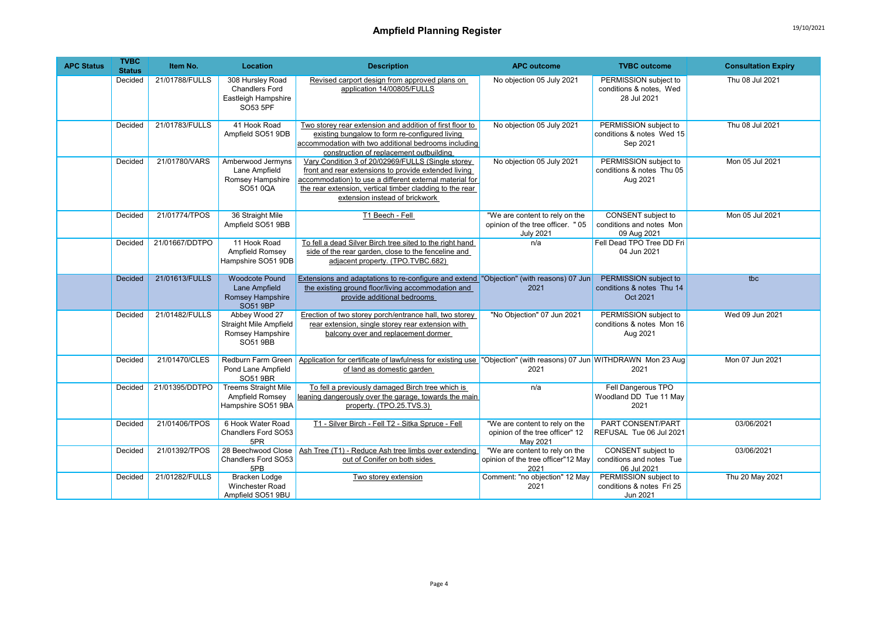| <b>APC Status</b> | <b>TVBC</b><br><b>Status</b> | Item No.       | Location                                                                      | <b>Description</b>                                                                                                                                                                                                                                                 | <b>APC outcome</b>                                                                     | <b>TVBC</b> outcome                                                  | <b>Consultation Expiry</b> |
|-------------------|------------------------------|----------------|-------------------------------------------------------------------------------|--------------------------------------------------------------------------------------------------------------------------------------------------------------------------------------------------------------------------------------------------------------------|----------------------------------------------------------------------------------------|----------------------------------------------------------------------|----------------------------|
|                   | Decided                      | 21/01788/FULLS | 308 Hursley Road<br><b>Chandlers Ford</b><br>Eastleigh Hampshire<br>SO53 5PF  | Revised carport design from approved plans on<br>application 14/00805/FULLS                                                                                                                                                                                        | No objection 05 July 2021                                                              | PERMISSION subject to<br>conditions & notes, Wed<br>28 Jul 2021      | Thu 08 Jul 2021            |
|                   | Decided                      | 21/01783/FULLS | 41 Hook Road<br>Ampfield SO51 9DB                                             | Two storey rear extension and addition of first floor to<br>existing bungalow to form re-configured living<br>accommodation with two additional bedrooms including<br>construction of replacement outbuilding                                                      | No objection 05 July 2021                                                              | PERMISSION subject to<br>conditions & notes Wed 15<br>Sep 2021       | Thu 08 Jul 2021            |
|                   | Decided                      | 21/01780/VARS  | Amberwood Jermyns<br>Lane Ampfield<br>Romsey Hampshire<br>SO510QA             | Vary Condition 3 of 20/02969/FULLS (Single storey<br>front and rear extensions to provide extended living<br>accommodation) to use a different external material for<br>the rear extension, vertical timber cladding to the rear<br>extension instead of brickwork | No objection 05 July 2021                                                              | PERMISSION subject to<br>conditions & notes Thu 05<br>Aug 2021       | Mon 05 Jul 2021            |
|                   | Decided                      | 21/01774/TPOS  | 36 Straight Mile<br>Ampfield SO51 9BB                                         | T1 Beech - Fell                                                                                                                                                                                                                                                    | "We are content to rely on the<br>opinion of the tree officer. "05<br><b>July 2021</b> | CONSENT subject to<br>conditions and notes Mon<br>09 Aug 2021        | Mon 05 Jul 2021            |
|                   | Decided                      | 21/01667/DDTPO | 11 Hook Road<br>Ampfield Romsey<br>Hampshire SO51 9DB                         | To fell a dead Silver Birch tree sited to the right hand<br>side of the rear garden, close to the fenceline and<br>adjacent property. (TPO.TVBC.682)                                                                                                               | n/a                                                                                    | Fell Dead TPO Tree DD Fri<br>04 Jun 2021                             |                            |
|                   | Decided                      | 21/01613/FULLS | <b>Woodcote Pound</b><br>Lane Ampfield<br>Romsey Hampshire<br><b>SO51 9BP</b> | Extensions and adaptations to re-configure and extend "Objection" (with reasons) 07 Jun<br>the existing ground floor/living accommodation and<br>provide additional bedrooms                                                                                       | 2021                                                                                   | PERMISSION subject to<br>conditions & notes Thu 14<br>Oct 2021       | tbc                        |
|                   | Decided                      | 21/01482/FULLS | Abbey Wood 27<br><b>Straight Mile Ampfield</b><br>Romsey Hampshire<br>SO519BB | Erection of two storey porch/entrance hall, two storey<br>rear extension, single storey rear extension with<br>balcony over and replacement dormer                                                                                                                 | "No Objection" 07 Jun 2021                                                             | PERMISSION subject to<br>conditions & notes Mon 16<br>Aug 2021       | Wed 09 Jun 2021            |
|                   | Decided                      | 21/01470/CLES  | Redburn Farm Green<br>Pond Lane Ampfield<br>SO51 9BR                          | Application for certificate of lawfulness for existing use "Objection" (with reasons) 07 Jun WITHDRAWN Mon 23 Aug<br>of land as domestic garden                                                                                                                    | 2021                                                                                   | 2021                                                                 | Mon 07 Jun 2021            |
|                   | Decided                      | 21/01395/DDTPO | <b>Treems Straight Mile</b><br>Ampfield Romsey<br>Hampshire SO51 9BA          | To fell a previously damaged Birch tree which is<br>leaning dangerously over the garage, towards the main<br>property. (TPO.25.TVS.3)                                                                                                                              | n/a                                                                                    | Fell Dangerous TPO<br>Woodland DD Tue 11 May<br>2021                 |                            |
|                   | Decided                      | 21/01406/TPOS  | 6 Hook Water Road<br>Chandlers Ford SO53<br>5PR                               | T1 - Silver Birch - Fell T2 - Sitka Spruce - Fell                                                                                                                                                                                                                  | "We are content to rely on the<br>opinion of the tree officer" 12<br>May 2021          | PART CONSENT/PART<br>REFUSAL Tue 06 Jul 2021                         | 03/06/2021                 |
|                   | Decided                      | 21/01392/TPOS  | 28 Beechwood Close<br>Chandlers Ford SO53<br>5PB                              | Ash Tree (T1) - Reduce Ash tree limbs over extending<br>out of Conifer on both sides                                                                                                                                                                               | "We are content to rely on the<br>opinion of the tree officer"12 May<br>2021           | <b>CONSENT</b> subject to<br>conditions and notes Tue<br>06 Jul 2021 | 03/06/2021                 |
|                   | Decided                      | 21/01282/FULLS | <b>Bracken Lodge</b><br>Winchester Road<br>Ampfield SO51 9BU                  | Two storey extension                                                                                                                                                                                                                                               | Comment: "no objection" 12 May<br>2021                                                 | PERMISSION subject to<br>conditions & notes Fri 25<br>Jun 2021       | Thu 20 May 2021            |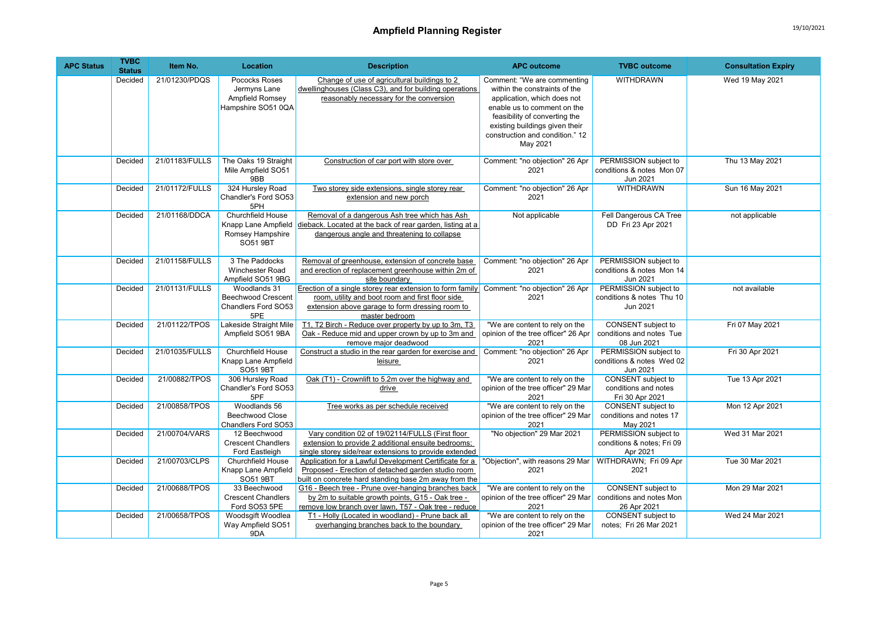| <b>APC Status</b> | <b>TVBC</b><br><b>Status</b> | Item No.       | Location                                                                               | <b>Description</b>                                                                                                                                                                                                | <b>APC outcome</b>                                                                                                                                                                                                                           | <b>TVBC</b> outcome                                                  | <b>Consultation Expiry</b> |
|-------------------|------------------------------|----------------|----------------------------------------------------------------------------------------|-------------------------------------------------------------------------------------------------------------------------------------------------------------------------------------------------------------------|----------------------------------------------------------------------------------------------------------------------------------------------------------------------------------------------------------------------------------------------|----------------------------------------------------------------------|----------------------------|
|                   | Decided                      | 21/01230/PDQS  | Pococks Roses<br>Jermyns Lane<br>Ampfield Romsey<br>Hampshire SO51 0QA                 | Change of use of agricultural buildings to 2<br>dwellinghouses (Class C3), and for building operations<br>reasonably necessary for the conversion                                                                 | Comment: "We are commenting<br>within the constraints of the<br>application, which does not<br>enable us to comment on the<br>feasibility of converting the<br>existing buildings given their<br>construction and condition." 12<br>May 2021 | WITHDRAWN                                                            | Wed 19 May 2021            |
|                   | Decided                      | 21/01183/FULLS | The Oaks 19 Straight<br>Mile Ampfield SO51<br>9BB                                      | Construction of car port with store over                                                                                                                                                                          | Comment: "no objection" 26 Apr<br>2021                                                                                                                                                                                                       | PERMISSION subject to<br>conditions & notes Mon 07<br>Jun 2021       | Thu 13 May 2021            |
|                   | Decided                      | 21/01172/FULLS | 324 Hursley Road<br>Chandler's Ford SO53<br>5PH                                        | Two storey side extensions, single storey rear<br>extension and new porch                                                                                                                                         | Comment: "no objection" 26 Apr<br>2021                                                                                                                                                                                                       | <b>WITHDRAWN</b>                                                     | Sun 16 May 2021            |
|                   | Decided                      | 21/01168/DDCA  | <b>Churchfield House</b><br>Knapp Lane Ampfield<br>Romsey Hampshire<br><b>SO51 9BT</b> | Removal of a dangerous Ash tree which has Ash<br>dieback. Located at the back of rear garden, listing at a<br>dangerous angle and threatening to collapse                                                         | Not applicable                                                                                                                                                                                                                               | Fell Dangerous CA Tree<br>DD Fri 23 Apr 2021                         | not applicable             |
|                   | Decided                      | 21/01158/FULLS | 3 The Paddocks<br>Winchester Road<br>Ampfield SO51 9BG                                 | Removal of greenhouse, extension of concrete base<br>and erection of replacement greenhouse within 2m of<br>site boundarv                                                                                         | Comment: "no objection" 26 Apr<br>2021                                                                                                                                                                                                       | PERMISSION subject to<br>conditions & notes Mon 14<br>Jun 2021       |                            |
|                   | Decided                      | 21/01131/FULLS | Woodlands 31<br>Beechwood Crescent<br>Chandlers Ford SO53<br>5PE                       | Erection of a single storey rear extension to form family Comment: "no objection" 26 Apr<br>room, utility and boot room and first floor side<br>extension above garage to form dressing room to<br>master bedroom | 2021                                                                                                                                                                                                                                         | PERMISSION subject to<br>conditions & notes Thu 10<br>Jun 2021       | not available              |
|                   | Decided                      | 21/01122/TPOS  | Lakeside Straight Mile<br>Ampfield SO51 9BA                                            | T1, T2 Birch - Reduce over property by up to 3m, T3<br>Oak - Reduce mid and upper crown by up to 3m and<br>remove major deadwood                                                                                  | "We are content to rely on the<br>opinion of the tree officer" 26 Apr<br>2021                                                                                                                                                                | <b>CONSENT</b> subject to<br>conditions and notes Tue<br>08 Jun 2021 | Fri 07 May 2021            |
|                   | Decided                      | 21/01035/FULLS | <b>Churchfield House</b><br>Knapp Lane Ampfield<br>SO51 9BT                            | Construct a studio in the rear garden for exercise and<br>leisure                                                                                                                                                 | Comment: "no objection" 26 Apr<br>2021                                                                                                                                                                                                       | PERMISSION subject to<br>conditions & notes Wed 02<br>Jun 2021       | Fri 30 Apr 2021            |
|                   | Decided                      | 21/00882/TPOS  | 306 Hursley Road<br>Chandler's Ford SO53<br>5PF                                        | Oak (T1) - Crownlift to 5.2m over the highway and<br>drive                                                                                                                                                        | "We are content to rely on the<br>opinion of the tree officer" 29 Mar<br>2021                                                                                                                                                                | CONSENT subject to<br>conditions and notes<br>Fri 30 Apr 2021        | Tue 13 Apr 2021            |
|                   | Decided                      | 21/00858/TPOS  | Woodlands 56<br><b>Beechwood Close</b><br>Chandlers Ford SO53                          | Tree works as per schedule received                                                                                                                                                                               | "We are content to rely on the<br>opinion of the tree officer" 29 Mar<br>2021                                                                                                                                                                | CONSENT subject to<br>conditions and notes 17<br>May 2021            | Mon 12 Apr 2021            |
|                   | Decided                      | 21/00704/VARS  | 12 Beechwood<br><b>Crescent Chandlers</b><br>Ford Eastleigh                            | Vary condition 02 of 19/02114/FULLS (First floor<br>extension to provide 2 additional ensuite bedrooms;<br>single storey side/rear extensions to provide extended                                                 | "No objection" 29 Mar 2021                                                                                                                                                                                                                   | PERMISSION subject to<br>conditions & notes; Fri 09<br>Apr 2021      | Wed 31 Mar 2021            |
|                   | Decided                      | 21/00703/CLPS  | Churchfield House<br>Knapp Lane Ampfield<br>SO51 9BT                                   | Application for a Lawful Development Certificate for a<br>Proposed - Erection of detached garden studio room<br>built on concrete hard standing base 2m away from the                                             | "Objection", with reasons 29 Mar<br>2021                                                                                                                                                                                                     | WITHDRAWN; Fri 09 Apr<br>2021                                        | Tue 30 Mar 2021            |
|                   | Decided                      | 21/00688/TPOS  | 33 Beechwood<br><b>Crescent Chandlers</b><br>Ford SO53 5PE                             | G16 - Beech tree - Prune over-hanging branches back<br>by 2m to suitable growth points, G15 - Oak tree -<br>remove low branch over lawn, T57 - Oak tree - reduce                                                  | "We are content to rely on the<br>opinion of the tree officer" 29 Mar<br>2021                                                                                                                                                                | <b>CONSENT</b> subject to<br>conditions and notes Mon<br>26 Apr 2021 | Mon 29 Mar 2021            |
|                   | Decided                      | 21/00658/TPOS  | Woodsgift Woodlea<br>Way Ampfield SO51<br>9DA                                          | T1 - Holly (Located in woodland) - Prune back all<br>overhanging branches back to the boundary                                                                                                                    | "We are content to rely on the<br>opinion of the tree officer" 29 Mar<br>2021                                                                                                                                                                | CONSENT subject to<br>notes; Fri 26 Mar 2021                         | Wed 24 Mar 2021            |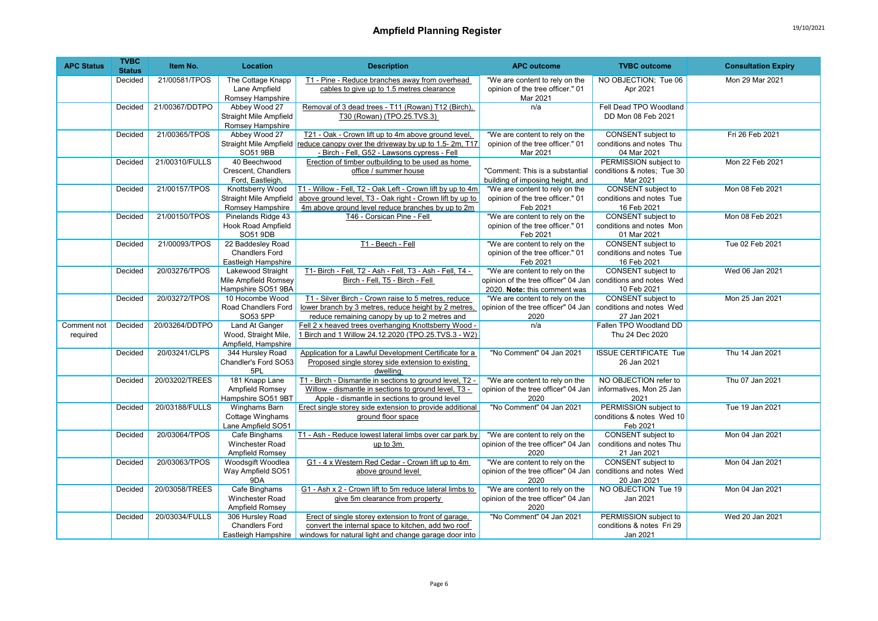| <b>Status</b><br>21/00581/TPOS<br>T1 - Pine - Reduce branches away from overhead<br>Decided<br>The Cottage Knapp<br>"We are content to rely on the<br>NO OBJECTION; Tue 06<br>Lane Ampfield<br>cables to give up to 1.5 metres clearance<br>opinion of the tree officer." 01<br>Apr 2021 | Mon 29 Mar 2021 |
|------------------------------------------------------------------------------------------------------------------------------------------------------------------------------------------------------------------------------------------------------------------------------------------|-----------------|
|                                                                                                                                                                                                                                                                                          |                 |
|                                                                                                                                                                                                                                                                                          |                 |
| Romsey Hampshire<br>Mar 2021                                                                                                                                                                                                                                                             |                 |
| 21/00367/DDTPO<br>Abbey Wood 27<br>Removal of 3 dead trees - T11 (Rowan) T12 (Birch),<br>Fell Dead TPO Woodland<br>Decided<br>n/a                                                                                                                                                        |                 |
| Straight Mile Ampfield<br>T30 (Rowan) (TPO.25.TVS.3)<br>DD Mon 08 Feb 2021                                                                                                                                                                                                               |                 |
| Romsey Hampshire                                                                                                                                                                                                                                                                         |                 |
| 21/00365/TPOS<br>Abbey Wood 27<br>T21 - Oak - Crown lift up to 4m above ground level,<br>"We are content to rely on the<br>CONSENT subject to<br>Decided                                                                                                                                 | Fri 26 Feb 2021 |
| Straight Mile Ampfield reduce canopy over the driveway by up to 1.5-2m, T17<br>opinion of the tree officer." 01<br>conditions and notes Thu                                                                                                                                              |                 |
| SO51 9BB<br>- Birch - Fell, G52 - Lawsons cypress - Fell<br>04 Mar 2021<br>Mar 2021                                                                                                                                                                                                      |                 |
| 21/00310/FULLS<br>40 Beechwood<br>Erection of timber outbuilding to be used as home<br>PERMISSION subject to<br>Decided                                                                                                                                                                  | Mon 22 Feb 2021 |
| "Comment: This is a substantial<br>Crescent. Chandlers<br>office / summer house<br>conditions & notes: Tue 30<br>Mar 2021                                                                                                                                                                |                 |
| Ford, Eastleigh,<br>building of imposing height, and<br>Knottsberry Wood<br>T1 - Willow - Fell, T2 - Oak Left - Crown lift by up to 4m<br>"We are content to rely on the<br><b>CONSENT</b> subject to<br>21/00157/TPOS<br>Decided                                                        | Mon 08 Feb 2021 |
| above ground level, T3 - Oak right - Crown lift by up to<br><b>Straight Mile Ampfield</b><br>opinion of the tree officer." 01<br>conditions and notes Tue                                                                                                                                |                 |
| 4m above ground level reduce branches by up to 2m<br>Romsey Hampshire<br>Feb 2021<br>16 Feb 2021                                                                                                                                                                                         |                 |
| 21/00150/TPOS<br>Pinelands Ridge 43<br>T46 - Corsican Pine - Fell<br>"We are content to rely on the<br>CONSENT subject to<br>Decided                                                                                                                                                     | Mon 08 Feb 2021 |
| <b>Hook Road Ampfield</b><br>opinion of the tree officer." 01<br>conditions and notes Mon                                                                                                                                                                                                |                 |
| <b>SO51 9DB</b><br>Feb 2021<br>01 Mar 2021                                                                                                                                                                                                                                               |                 |
| 22 Baddesley Road<br>T1 - Beech - Fell<br>"We are content to rely on the<br><b>CONSENT</b> subject to<br>21/00093/TPOS<br>Decided                                                                                                                                                        | Tue 02 Feb 2021 |
| <b>Chandlers Ford</b><br>opinion of the tree officer." 01<br>conditions and notes Tue                                                                                                                                                                                                    |                 |
| Eastleigh Hampshire<br>Feb 2021<br>16 Feb 2021                                                                                                                                                                                                                                           |                 |
| Decided<br>20/03276/TPOS<br>T1- Birch - Fell, T2 - Ash - Fell, T3 - Ash - Fell, T4 -<br>"We are content to rely on the<br>CONSENT subject to<br>Lakewood Straight                                                                                                                        | Wed 06 Jan 2021 |
| Mile Ampfield Romsey<br>Birch - Fell, T5 - Birch - Fell<br>opinion of the tree officer" 04 Jan<br>conditions and notes Wed                                                                                                                                                               |                 |
| Hampshire SO51 9BA<br>2020. Note: this comment was<br>10 Feb 2021                                                                                                                                                                                                                        |                 |
| 20/03272/TPOS<br>Decided<br>10 Hocombe Wood<br>T1 - Silver Birch - Crown raise to 5 metres, reduce<br>"We are content to rely on the<br>CONSENT subject to                                                                                                                               | Mon 25 Jan 2021 |
| lower branch by 3 metres, reduce height by 2 metres,<br>Road Chandlers Ford<br>opinion of the tree officer" 04 Jan<br>conditions and notes Wed                                                                                                                                           |                 |
| SO53 5PP<br>reduce remaining canopy by up to 2 metres and<br>2020<br>27 Jan 2021                                                                                                                                                                                                         |                 |
| 20/03264/DDTPO<br>Land At Ganger<br>Fell 2 x heaved trees overhanging Knottsberry Wood -<br>Fallen TPO Woodland DD<br>Comment not<br>Decided<br>n/a                                                                                                                                      |                 |
| Wood, Straight Mile,<br>1 Birch and 1 Willow 24.12.2020 (TPO.25.TVS.3 - W2)<br>Thu 24 Dec 2020<br>required                                                                                                                                                                               |                 |
| Ampfield, Hampshire<br>20/03241/CLPS<br>Application for a Lawful Development Certificate for a<br>"No Comment" 04 Jan 2021<br><b>ISSUE CERTIFICATE Tue</b><br>344 Hursley Road<br>Decided                                                                                                | Thu 14 Jan 2021 |
| Chandler's Ford SO53<br>Proposed single storey side extension to existing<br>26 Jan 2021                                                                                                                                                                                                 |                 |
| 5PL<br>dwelling                                                                                                                                                                                                                                                                          |                 |
| 181 Knapp Lane<br>T1 - Birch - Dismantle in sections to ground level, T2 -<br>20/03202/TREES<br>"We are content to rely on the<br>NO OBJECTION refer to<br>Decided                                                                                                                       | Thu 07 Jan 2021 |
| Ampfield Romsey<br>Willow - dismantle in sections to ground level, T3 -<br>opinion of the tree officer" 04 Jan<br>informatives, Mon 25 Jan                                                                                                                                               |                 |
| Hampshire SO51 9BT<br>Apple - dismantle in sections to ground level<br>2020<br>2021                                                                                                                                                                                                      |                 |
| 20/03188/FULLS<br>Erect single storey side extension to provide additional<br>"No Comment" 04 Jan 2021<br>PERMISSION subject to<br>Decided<br>Winghams Barn                                                                                                                              | Tue 19 Jan 2021 |
| Cottage Winghams<br>ground floor space<br>conditions & notes Wed 10                                                                                                                                                                                                                      |                 |
| Lane Ampfield SO51<br>Feb 2021                                                                                                                                                                                                                                                           |                 |
| Decided<br>20/03064/TPOS<br>Cafe Binghams<br>T1 - Ash - Reduce lowest lateral limbs over car park by<br>"We are content to rely on the<br>CONSENT subject to                                                                                                                             | Mon 04 Jan 2021 |
| Winchester Road<br>opinion of the tree officer" 04 Jan<br>up to 3m<br>conditions and notes Thu                                                                                                                                                                                           |                 |
| Ampfield Romsey<br>2020<br>21 Jan 2021                                                                                                                                                                                                                                                   |                 |
| 20/03063/TPOS<br>G1 - 4 x Western Red Cedar - Crown lift up to 4m<br>"We are content to rely on the<br><b>CONSENT</b> subject to<br>Decided<br>Woodsgift Woodlea<br>opinion of the tree officer" 04 Jan                                                                                  | Mon 04 Jan 2021 |
| Way Ampfield SO51<br>above ground level<br>conditions and notes Wed<br>9DA<br>2020<br>20 Jan 2021                                                                                                                                                                                        |                 |
| 20/03058/TREES<br>Cafe Binghams<br>G1 - Ash x 2 - Crown lift to 5m reduce lateral limbs to<br>"We are content to rely on the<br>NO OBJECTION Tue 19<br>Decided                                                                                                                           | Mon 04 Jan 2021 |
| give 5m clearance from property<br>Winchester Road<br>opinion of the tree officer" 04 Jan<br>Jan 2021                                                                                                                                                                                    |                 |
| Ampfield Romsey<br>2020                                                                                                                                                                                                                                                                  |                 |
| "No Comment" 04 Jan 2021<br>PERMISSION subject to<br>20/03034/FULLS<br>306 Hursley Road<br>Erect of single storey extension to front of garage.<br>Decided                                                                                                                               | Wed 20 Jan 2021 |
| convert the internal space to kitchen, add two roof<br><b>Chandlers Ford</b><br>conditions & notes Fri 29                                                                                                                                                                                |                 |
| windows for natural light and change garage door into<br>Eastleigh Hampshire<br>Jan 2021                                                                                                                                                                                                 |                 |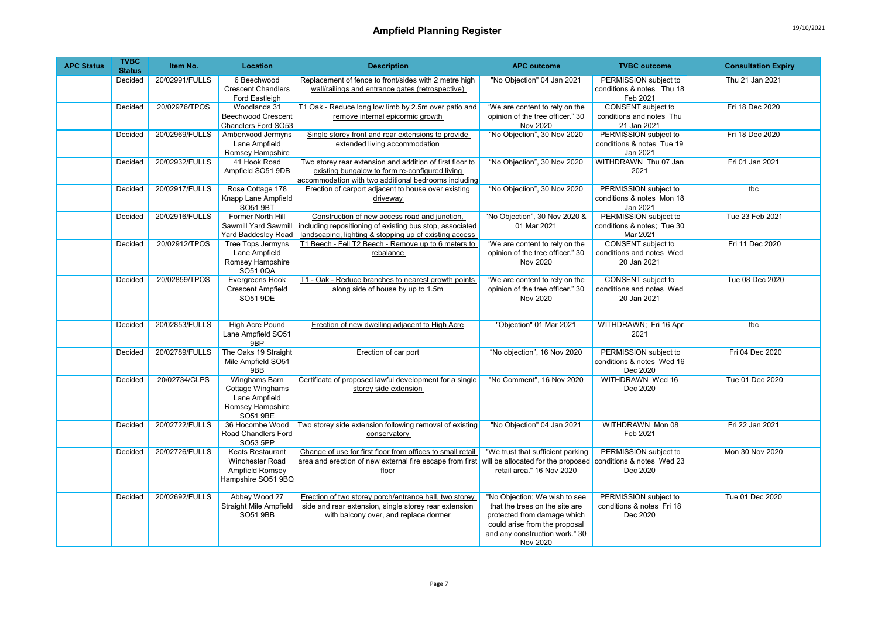| <b>APC Status</b> | <b>TVBC</b><br><b>Status</b> | Item No.       | Location                                                                                  | <b>Description</b>                                                                                                                                                  | <b>APC outcome</b>                                                                                                                                                            | <b>TVBC</b> outcome                                                  | <b>Consultation Expiry</b> |
|-------------------|------------------------------|----------------|-------------------------------------------------------------------------------------------|---------------------------------------------------------------------------------------------------------------------------------------------------------------------|-------------------------------------------------------------------------------------------------------------------------------------------------------------------------------|----------------------------------------------------------------------|----------------------------|
|                   | Decided                      | 20/02991/FULLS | 6 Beechwood<br><b>Crescent Chandlers</b><br>Ford Eastleigh                                | Replacement of fence to front/sides with 2 metre high<br>wall/railings and entrance gates (retrospective)                                                           | "No Objection" 04 Jan 2021                                                                                                                                                    | PERMISSION subject to<br>conditions & notes Thu 18<br>Feb 2021       | Thu 21 Jan 2021            |
|                   | Decided                      | 20/02976/TPOS  | Woodlands 31<br><b>Beechwood Crescent</b><br>Chandlers Ford SO53                          | T1 Oak - Reduce long low limb by 2.5m over patio and<br>remove internal epicormic growth                                                                            | "We are content to rely on the<br>opinion of the tree officer." 30<br>Nov 2020                                                                                                | CONSENT subject to<br>conditions and notes Thu<br>21 Jan 2021        | Fri 18 Dec 2020            |
|                   | Decided                      | 20/02969/FULLS | Amberwood Jermyns<br>Lane Ampfield<br>Romsey Hampshire                                    | Single storey front and rear extensions to provide<br>extended living accommodation                                                                                 | "No Objection", 30 Nov 2020                                                                                                                                                   | PERMISSION subject to<br>conditions & notes Tue 19<br>Jan 2021       | Fri 18 Dec 2020            |
|                   | Decided                      | 20/02932/FULLS | 41 Hook Road<br>Ampfield SO51 9DB                                                         | Two storey rear extension and addition of first floor to<br>existing bungalow to form re-configured living<br>accommodation with two additional bedrooms including  | "No Objection", 30 Nov 2020                                                                                                                                                   | WITHDRAWN Thu 07 Jan<br>2021                                         | Fri 01 Jan 2021            |
|                   | Decided                      | 20/02917/FULLS | Rose Cottage 178<br>Knapp Lane Ampfield<br><b>SO51 9BT</b>                                | Erection of carport adjacent to house over existing<br>driveway                                                                                                     | "No Objection", 30 Nov 2020                                                                                                                                                   | PERMISSION subject to<br>conditions & notes Mon 18<br>Jan 2021       | tbc                        |
|                   | Decided                      | 20/02916/FULLS | Former North Hill<br>Sawmill Yard Sawmill<br>Yard Baddesley Road                          | Construction of new access road and junction,<br>including repositioning of existing bus stop, associated<br>landscaping, lighting & stopping up of existing access | "No Objection", 30 Nov 2020 &<br>01 Mar 2021                                                                                                                                  | PERMISSION subject to<br>conditions & notes; Tue 30<br>Mar 2021      | Tue 23 Feb 2021            |
|                   | Decided                      | 20/02912/TPOS  | Tree Tops Jermyns<br>Lane Ampfield<br>Romsey Hampshire<br>SO51 0QA                        | T1 Beech - Fell T2 Beech - Remove up to 6 meters to<br>rebalance                                                                                                    | "We are content to rely on the<br>opinion of the tree officer." 30<br>Nov 2020                                                                                                | CONSENT subject to<br>conditions and notes Wed<br>20 Jan 2021        | Fri 11 Dec 2020            |
|                   | Decided                      | 20/02859/TPOS  | Evergreens Hook<br><b>Crescent Ampfield</b><br>SO51 9DE                                   | T1 - Oak - Reduce branches to nearest growth points<br>along side of house by up to 1.5m                                                                            | "We are content to rely on the<br>opinion of the tree officer." 30<br><b>Nov 2020</b>                                                                                         | <b>CONSENT</b> subject to<br>conditions and notes Wed<br>20 Jan 2021 | Tue 08 Dec 2020            |
|                   | Decided                      | 20/02853/FULLS | High Acre Pound<br>Lane Ampfield SO51<br>9BP                                              | Erection of new dwelling adjacent to High Acre                                                                                                                      | "Objection" 01 Mar 2021                                                                                                                                                       | WITHDRAWN; Fri 16 Apr<br>2021                                        | tbc                        |
|                   | Decided                      | 20/02789/FULLS | The Oaks 19 Straight<br>Mile Ampfield SO51<br>9BB                                         | Erection of car port                                                                                                                                                | "No objection", 16 Nov 2020                                                                                                                                                   | PERMISSION subject to<br>conditions & notes Wed 16<br>Dec 2020       | Fri 04 Dec 2020            |
|                   | Decided                      | 20/02734/CLPS  | Winghams Barn<br>Cottage Winghams<br>Lane Ampfield<br>Romsey Hampshire<br><b>SO51 9BE</b> | Certificate of proposed lawful development for a single<br>storey side extension                                                                                    | "No Comment", 16 Nov 2020                                                                                                                                                     | WITHDRAWN Wed 16<br>Dec 2020                                         | Tue 01 Dec 2020            |
|                   | Decided                      | 20/02722/FULLS | 36 Hocombe Wood<br>Road Chandlers Ford<br>SO53 5PP                                        | Two storey side extension following removal of existing<br>conservatory                                                                                             | "No Objection" 04 Jan 2021                                                                                                                                                    | WITHDRAWN Mon 08<br>Feb 2021                                         | Fri 22 Jan 2021            |
|                   | Decided                      | 20/02726/FULLS | <b>Keats Restaurant</b><br>Winchester Road<br>Ampfield Romsey<br>Hampshire SO51 9BQ       | Change of use for first floor from offices to small retail<br>area and erection of new external fire escape from first<br>floor                                     | "We trust that sufficient parking<br>will be allocated for the proposed<br>retail area." 16 Nov 2020                                                                          | PERMISSION subject to<br>conditions & notes Wed 23<br>Dec 2020       | Mon 30 Nov 2020            |
|                   | Decided                      | 20/02692/FULLS | Abbey Wood 27<br>Straight Mile Ampfield<br>SO51 9BB                                       | Erection of two storey porch/entrance hall, two storey<br>side and rear extension, single storey rear extension<br>with balcony over, and replace dormer            | "No Objection; We wish to see<br>that the trees on the site are<br>protected from damage which<br>could arise from the proposal<br>and any construction work." 30<br>Nov 2020 | PERMISSION subject to<br>conditions & notes Fri 18<br>Dec 2020       | Tue 01 Dec 2020            |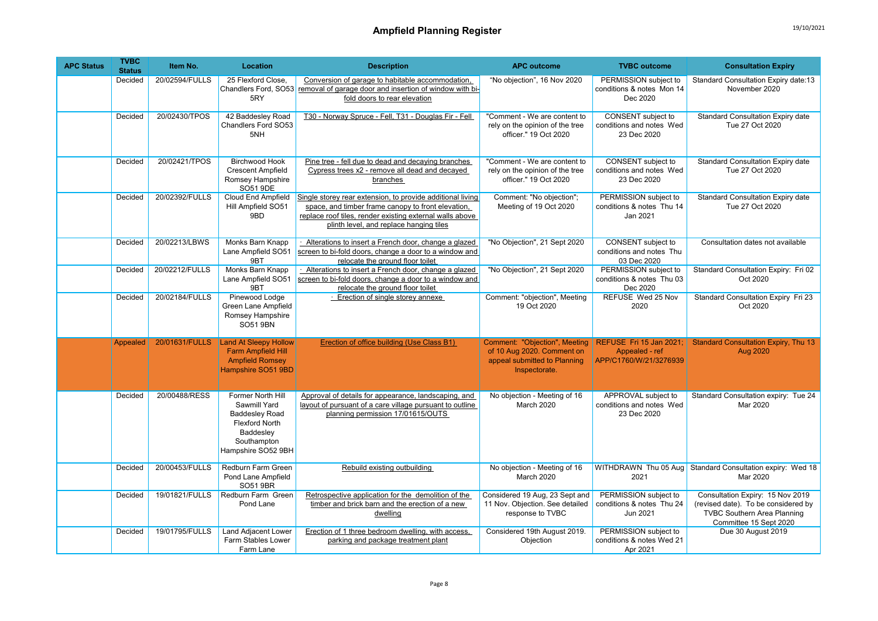| <b>APC Status</b> | <b>TVBC</b><br><b>Status</b> | Item No.       | Location                                                                                                                              | <b>Description</b>                                                                                                                                                                                                      | <b>APC outcome</b>                                                                                           | <b>TVBC</b> outcome                                                 | <b>Consultation Expiry</b>                                                                                                              |
|-------------------|------------------------------|----------------|---------------------------------------------------------------------------------------------------------------------------------------|-------------------------------------------------------------------------------------------------------------------------------------------------------------------------------------------------------------------------|--------------------------------------------------------------------------------------------------------------|---------------------------------------------------------------------|-----------------------------------------------------------------------------------------------------------------------------------------|
|                   | Decided                      | 20/02594/FULLS | 25 Flexford Close,<br>Chandlers Ford, SO53<br>5RY                                                                                     | Conversion of garage to habitable accommodation,<br>removal of garage door and insertion of window with bi-<br>fold doors to rear elevation                                                                             | "No objection", 16 Nov 2020                                                                                  | PERMISSION subject to<br>conditions & notes Mon 14<br>Dec 2020      | Standard Consultation Expiry date:13<br>November 2020                                                                                   |
|                   | Decided                      | 20/02430/TPOS  | 42 Baddesley Road<br>Chandlers Ford SO53<br>5NH                                                                                       | T30 - Norway Spruce - Fell, T31 - Douglas Fir - Fell                                                                                                                                                                    | "Comment - We are content to<br>rely on the opinion of the tree<br>officer." 19 Oct 2020                     | CONSENT subject to<br>conditions and notes Wed<br>23 Dec 2020       | Standard Consultation Expiry date<br>Tue 27 Oct 2020                                                                                    |
|                   | Decided                      | 20/02421/TPOS  | <b>Birchwood Hook</b><br><b>Crescent Ampfield</b><br>Romsey Hampshire<br>SO51 9DE                                                     | Pine tree - fell due to dead and decaying branches<br>Cypress trees x2 - remove all dead and decayed<br>branches                                                                                                        | "Comment - We are content to<br>rely on the opinion of the tree<br>officer." 19 Oct 2020                     | CONSENT subject to<br>conditions and notes Wed<br>23 Dec 2020       | <b>Standard Consultation Expiry date</b><br>Tue 27 Oct 2020                                                                             |
|                   | Decided                      | 20/02392/FULLS | Cloud End Ampfield<br>Hill Ampfield SO51<br>9BD                                                                                       | Single storey rear extension, to provide additional living<br>space, and timber frame canopy to front elevation,<br>replace roof tiles, render existing external walls above<br>plinth level, and replace hanging tiles | Comment: "No objection";<br>Meeting of 19 Oct 2020                                                           | PERMISSION subject to<br>conditions & notes Thu 14<br>Jan 2021      | Standard Consultation Expiry date<br>Tue 27 Oct 2020                                                                                    |
|                   | Decided                      | 20/02213/LBWS  | Monks Barn Knapp<br>Lane Ampfield SO51<br>9BT                                                                                         | Alterations to insert a French door, change a glazed<br>screen to bi-fold doors, change a door to a window and<br>relocate the ground floor toilet                                                                      | "No Objection", 21 Sept 2020                                                                                 | CONSENT subject to<br>conditions and notes Thu<br>03 Dec 2020       | Consultation dates not available                                                                                                        |
|                   | Decided                      | 20/02212/FULLS | Monks Barn Knapp<br>Lane Ampfield SO51<br>9BT                                                                                         | Alterations to insert a French door, change a glazed<br>screen to bi-fold doors, change a door to a window and<br>relocate the ground floor toilet                                                                      | "No Objection", 21 Sept 2020                                                                                 | PERMISSION subject to<br>conditions & notes Thu 03<br>Dec 2020      | Standard Consultation Expiry: Fri 02<br>Oct 2020                                                                                        |
|                   | Decided                      | 20/02184/FULLS | Pinewood Lodge<br>Green Lane Ampfield<br>Romsey Hampshire<br><b>SO51 9BN</b>                                                          | <b>Erection of single storey annexe</b>                                                                                                                                                                                 | Comment: "objection", Meeting<br>19 Oct 2020                                                                 | REFUSE Wed 25 Nov<br>2020                                           | Standard Consultation Expiry Fri 23<br>Oct 2020                                                                                         |
|                   | Appealed                     | 20/01631/FULLS | <b>Land At Sleepy Hollow</b><br><b>Farm Ampfield Hill</b><br><b>Ampfield Romsey</b><br>Hampshire SO51 9BD                             | Erection of office building (Use Class B1)                                                                                                                                                                              | Comment: "Objection", Meeting<br>of 10 Aug 2020. Comment on<br>appeal submitted to Planning<br>Inspectorate. | REFUSE Fri 15 Jan 2021;<br>Appealed - ref<br>APP/C1760/W/21/3276939 | <b>Standard Consultation Expiry, Thu 13</b><br><b>Aug 2020</b>                                                                          |
|                   | Decided                      | 20/00488/RESS  | Former North Hill<br>Sawmill Yard<br><b>Baddesley Road</b><br><b>Flexford North</b><br>Baddesley<br>Southampton<br>Hampshire SO52 9BH | Approval of details for appearance, landscaping, and<br>layout of pursuant of a care village pursuant to outline<br>planning permission 17/01615/OUTS                                                                   | No objection - Meeting of 16<br>March 2020                                                                   | APPROVAL subject to<br>conditions and notes Wed<br>23 Dec 2020      | Standard Consultation expiry: Tue 24<br>Mar 2020                                                                                        |
|                   | Decided                      | 20/00453/FULLS | Redburn Farm Green<br>Pond Lane Ampfield<br>SO51 9BR                                                                                  | Rebuild existing outbuilding                                                                                                                                                                                            | No objection - Meeting of 16<br>March 2020                                                                   | 2021                                                                | WITHDRAWN Thu 05 Aug   Standard Consultation expiry: Wed 18<br>Mar 2020                                                                 |
|                   | Decided                      | 19/01821/FULLS | Redburn Farm Green<br>Pond Lane                                                                                                       | Retrospective application for the demolition of the<br>timber and brick barn and the erection of a new<br>dwelling                                                                                                      | Considered 19 Aug, 23 Sept and<br>11 Nov. Objection. See detailed<br>response to TVBC                        | PERMISSION subject to<br>conditions & notes Thu 24<br>Jun 2021      | Consultation Expiry: 15 Nov 2019<br>(revised date). To be considered by<br><b>TVBC Southern Area Planning</b><br>Committee 15 Sept 2020 |
|                   | Decided                      | 19/01795/FULLS | Land Adjacent Lower<br>Farm Stables Lower<br>Farm Lane                                                                                | Erection of 1 three bedroom dwelling, with access,<br>parking and package treatment plant                                                                                                                               | Considered 19th August 2019.<br>Objection                                                                    | PERMISSION subject to<br>conditions & notes Wed 21<br>Apr 2021      | Due 30 August 2019                                                                                                                      |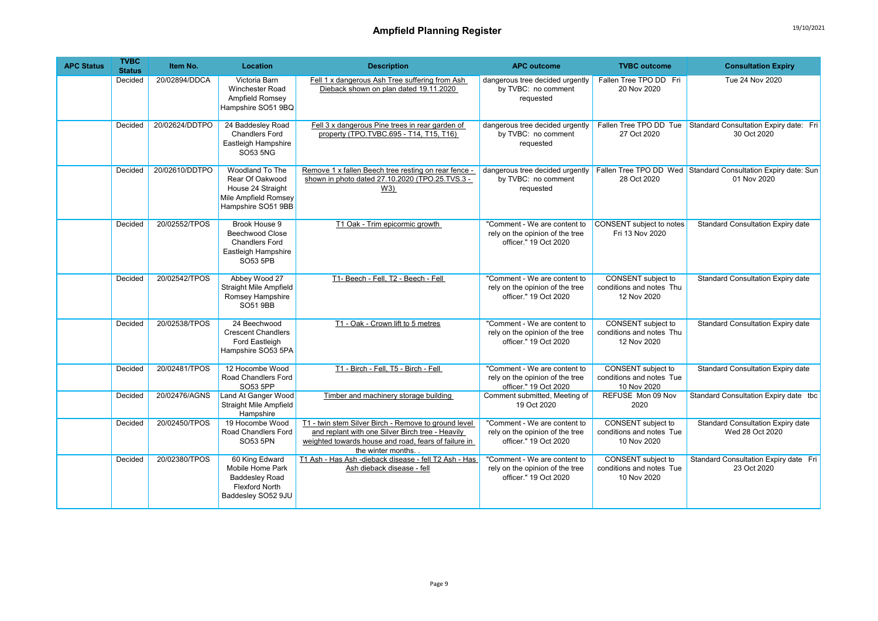## Ampfield Planning Register **19/10/2021**

| <b>APC Status</b> | <b>TVBC</b><br><b>Status</b> | Item No.       | Location                                                                                                   | <b>Description</b>                                                                                                                                                                     | <b>APC outcome</b>                                                                       | <b>TVBC</b> outcome                                                  | <b>Consultation Expiry</b>                                                                                   |
|-------------------|------------------------------|----------------|------------------------------------------------------------------------------------------------------------|----------------------------------------------------------------------------------------------------------------------------------------------------------------------------------------|------------------------------------------------------------------------------------------|----------------------------------------------------------------------|--------------------------------------------------------------------------------------------------------------|
|                   | Decided                      | 20/02894/DDCA  | Victoria Barn<br>Winchester Road<br>Ampfield Romsey<br>Hampshire SO51 9BQ                                  | Fell 1 x dangerous Ash Tree suffering from Ash<br>Dieback shown on plan dated 19.11.2020                                                                                               | dangerous tree decided urgently<br>by TVBC: no comment<br>requested                      | Fallen Tree TPO DD Fri<br>20 Nov 2020                                | Tue 24 Nov 2020                                                                                              |
|                   | Decided                      | 20/02624/DDTPO | 24 Baddesley Road<br><b>Chandlers Ford</b><br>Eastleigh Hampshire<br><b>SO53 5NG</b>                       | Fell 3 x dangerous Pine trees in rear garden of<br>property (TPO.TVBC.695 - T14, T15, T16)                                                                                             | dangerous tree decided urgently<br>by TVBC: no comment<br>requested                      | 27 Oct 2020                                                          | Fallen Tree TPO DD Tue Standard Consultation Expiry date: Fri<br>30 Oct 2020                                 |
|                   | Decided                      | 20/02610/DDTPO | Woodland To The<br>Rear Of Oakwood<br>House 24 Straight<br>Mile Ampfield Romsey<br>Hampshire SO51 9BB      | Remove 1 x fallen Beech tree resting on rear fence -<br>shown in photo dated 27.10.2020 (TPO.25.TVS.3 -<br>W3)                                                                         | by TVBC: no comment<br>requested                                                         | 28 Oct 2020                                                          | dangerous tree decided urgently Fallen Tree TPO DD Wed Standard Consultation Expiry date: Sun<br>01 Nov 2020 |
|                   | Decided                      | 20/02552/TPOS  | Brook House 9<br><b>Beechwood Close</b><br><b>Chandlers Ford</b><br>Eastleigh Hampshire<br>SO53 5PB        | T1 Oak - Trim epicormic growth                                                                                                                                                         | "Comment - We are content to<br>rely on the opinion of the tree<br>officer." 19 Oct 2020 | CONSENT subject to notes<br>Fri 13 Nov 2020                          | <b>Standard Consultation Expiry date</b>                                                                     |
|                   | Decided                      | 20/02542/TPOS  | Abbey Wood 27<br><b>Straight Mile Ampfield</b><br>Romsey Hampshire<br>SO51 9BB                             | T1- Beech - Fell. T2 - Beech - Fell                                                                                                                                                    | "Comment - We are content to<br>rely on the opinion of the tree<br>officer." 19 Oct 2020 | CONSENT subject to<br>conditions and notes Thu<br>12 Nov 2020        | <b>Standard Consultation Expiry date</b>                                                                     |
|                   | Decided                      | 20/02538/TPOS  | 24 Beechwood<br><b>Crescent Chandlers</b><br>Ford Eastleigh<br>Hampshire SO53 5PA                          | T1 - Oak - Crown lift to 5 metres                                                                                                                                                      | "Comment - We are content to<br>rely on the opinion of the tree<br>officer." 19 Oct 2020 | CONSENT subject to<br>conditions and notes Thu<br>12 Nov 2020        | <b>Standard Consultation Expiry date</b>                                                                     |
|                   | Decided                      | 20/02481/TPOS  | 12 Hocombe Wood<br>Road Chandlers Ford<br>SO53 5PP                                                         | T1 - Birch - Fell, T5 - Birch - Fell                                                                                                                                                   | "Comment - We are content to<br>rely on the opinion of the tree<br>officer." 19 Oct 2020 | <b>CONSENT</b> subject to<br>conditions and notes Tue<br>10 Nov 2020 | <b>Standard Consultation Expiry date</b>                                                                     |
|                   | Decided                      | 20/02476/AGNS  | Land At Ganger Wood<br>Straight Mile Ampfield<br>Hampshire                                                 | Timber and machinery storage building                                                                                                                                                  | Comment submitted, Meeting of<br>19 Oct 2020                                             | REFUSE Mon 09 Nov<br>2020                                            | Standard Consultation Expiry date tbc                                                                        |
|                   | Decided                      | 20/02450/TPOS  | 19 Hocombe Wood<br>Road Chandlers Ford<br>SO53 5PN                                                         | T1 - twin stem Silver Birch - Remove to ground level<br>and replant with one Silver Birch tree - Heavily<br>weighted towards house and road, fears of failure in<br>the winter months. | "Comment - We are content to<br>rely on the opinion of the tree<br>officer." 19 Oct 2020 | <b>CONSENT</b> subject to<br>conditions and notes Tue<br>10 Nov 2020 | <b>Standard Consultation Expiry date</b><br>Wed 28 Oct 2020                                                  |
|                   | Decided                      | 20/02380/TPOS  | 60 King Edward<br>Mobile Home Park<br><b>Baddesley Road</b><br><b>Flexford North</b><br>Baddesley SO52 9JU | T1 Ash - Has Ash -dieback disease - fell T2 Ash - Has<br>Ash dieback disease - fell                                                                                                    | "Comment - We are content to<br>rely on the opinion of the tree<br>officer." 19 Oct 2020 | CONSENT subject to<br>conditions and notes Tue<br>10 Nov 2020        | Standard Consultation Expiry date Fri<br>23 Oct 2020                                                         |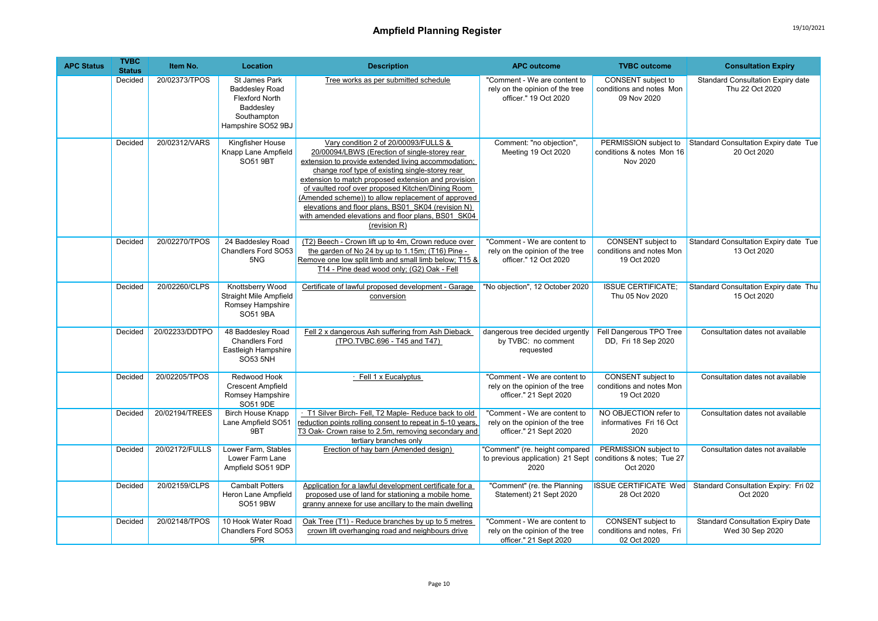| <b>APC Status</b> | <b>TVBC</b><br><b>Status</b> | Item No.       | Location                                                                                                                 | <b>Description</b>                                                                                                                                                                                                                                                                                                                                                                                                                                                                            | <b>APC outcome</b>                                                                        | <b>TVBC</b> outcome                                             | <b>Consultation Expiry</b>                                  |
|-------------------|------------------------------|----------------|--------------------------------------------------------------------------------------------------------------------------|-----------------------------------------------------------------------------------------------------------------------------------------------------------------------------------------------------------------------------------------------------------------------------------------------------------------------------------------------------------------------------------------------------------------------------------------------------------------------------------------------|-------------------------------------------------------------------------------------------|-----------------------------------------------------------------|-------------------------------------------------------------|
|                   | Decided                      | 20/02373/TPOS  | <b>St James Park</b><br><b>Baddesley Road</b><br><b>Flexford North</b><br>Baddesley<br>Southampton<br>Hampshire SO52 9BJ | Tree works as per submitted schedule                                                                                                                                                                                                                                                                                                                                                                                                                                                          | "Comment - We are content to<br>rely on the opinion of the tree<br>officer." 19 Oct 2020  | CONSENT subject to<br>conditions and notes Mon<br>09 Nov 2020   | Standard Consultation Expiry date<br>Thu 22 Oct 2020        |
|                   | Decided                      | 20/02312/VARS  | Kingfisher House<br>Knapp Lane Ampfield<br><b>SO51 9BT</b>                                                               | Vary condition 2 of 20/00093/FULLS &<br>20/00094/LBWS (Erection of single-storey rear<br>extension to provide extended living accommodation;<br>change roof type of existing single-storey rear<br>extension to match proposed extension and provision<br>of vaulted roof over proposed Kitchen/Dining Room<br>(Amended scheme)) to allow replacement of approved<br>elevations and floor plans, BS01 SK04 (revision N)<br>with amended elevations and floor plans, BS01 SK04<br>(revision R) | Comment: "no objection",<br>Meeting 19 Oct 2020                                           | PERMISSION subject to<br>conditions & notes Mon 16<br>Nov 2020  | Standard Consultation Expiry date Tue<br>20 Oct 2020        |
|                   | Decided                      | 20/02270/TPOS  | 24 Baddesley Road<br>Chandlers Ford SO53<br>5NG                                                                          | (T2) Beech - Crown lift up to 4m, Crown reduce over<br>the garden of No 24 by up to 1.15m; (T16) Pine -<br>Remove one low split limb and small limb below; T15 &<br>T14 - Pine dead wood only; (G2) Oak - Fell                                                                                                                                                                                                                                                                                | "Comment - We are content to<br>rely on the opinion of the tree<br>officer." 12 Oct 2020  | CONSENT subject to<br>conditions and notes Mon<br>19 Oct 2020   | Standard Consultation Expiry date Tue<br>13 Oct 2020        |
|                   | Decided                      | 20/02260/CLPS  | Knottsberry Wood<br>Straight Mile Ampfield<br>Romsey Hampshire<br><b>SO51 9BA</b>                                        | Certificate of lawful proposed development - Garage<br>conversion                                                                                                                                                                                                                                                                                                                                                                                                                             | "No objection", 12 October 2020                                                           | <b>ISSUE CERTIFICATE:</b><br>Thu 05 Nov 2020                    | Standard Consultation Expiry date Thu<br>15 Oct 2020        |
|                   | Decided                      | 20/02233/DDTPO | 48 Baddesley Road<br><b>Chandlers Ford</b><br>Eastleigh Hampshire<br><b>SO53 5NH</b>                                     | Fell 2 x dangerous Ash suffering from Ash Dieback<br>(TPO.TVBC.696 - T45 and T47)                                                                                                                                                                                                                                                                                                                                                                                                             | dangerous tree decided urgently<br>by TVBC: no comment<br>requested                       | Fell Dangerous TPO Tree<br>DD, Fri 18 Sep 2020                  | Consultation dates not available                            |
|                   | Decided                      | 20/02205/TPOS  | Redwood Hook<br><b>Crescent Ampfield</b><br>Romsey Hampshire<br>SO51 9DE                                                 | · Fell 1 x Eucalyptus                                                                                                                                                                                                                                                                                                                                                                                                                                                                         | "Comment - We are content to<br>rely on the opinion of the tree<br>officer." 21 Sept 2020 | CONSENT subject to<br>conditions and notes Mon<br>19 Oct 2020   | Consultation dates not available                            |
|                   | Decided                      | 20/02194/TREES | <b>Birch House Knapp</b><br>Lane Ampfield SO51<br>9BT                                                                    | · T1 Silver Birch- Fell, T2 Maple- Reduce back to old<br>reduction points rolling consent to repeat in 5-10 years,<br>T3 Oak- Crown raise to 2.5m, removing secondary and<br>tertiary branches only                                                                                                                                                                                                                                                                                           | "Comment - We are content to<br>rely on the opinion of the tree<br>officer." 21 Sept 2020 | NO OBJECTION refer to<br>informatives Fri 16 Oct<br>2020        | Consultation dates not available                            |
|                   | Decided                      | 20/02172/FULLS | Lower Farm, Stables<br>Lower Farm Lane<br>Ampfield SO51 9DP                                                              | Erection of hay barn (Amended design)                                                                                                                                                                                                                                                                                                                                                                                                                                                         | "Comment" (re. height compared<br>to previous application) 21 Sept<br>2020                | PERMISSION subject to<br>conditions & notes; Tue 27<br>Oct 2020 | Consultation dates not available                            |
|                   | Decided                      | 20/02159/CLPS  | <b>Cambalt Potters</b><br>Heron Lane Ampfield<br><b>SO51 9BW</b>                                                         | Application for a lawful development certificate for a<br>proposed use of land for stationing a mobile home<br>granny annexe for use ancillary to the main dwelling                                                                                                                                                                                                                                                                                                                           | "Comment" (re. the Planning<br>Statement) 21 Sept 2020                                    | <b>ISSUE CERTIFICATE Wed</b><br>28 Oct 2020                     | Standard Consultation Expiry: Fri 02<br>Oct 2020            |
|                   | Decided                      | 20/02148/TPOS  | 10 Hook Water Road<br>Chandlers Ford SO53<br>5PR                                                                         | Oak Tree (T1) - Reduce branches by up to 5 metres<br>crown lift overhanging road and neighbours drive                                                                                                                                                                                                                                                                                                                                                                                         | "Comment - We are content to<br>rely on the opinion of the tree<br>officer." 21 Sept 2020 | CONSENT subject to<br>conditions and notes, Fri<br>02 Oct 2020  | <b>Standard Consultation Expiry Date</b><br>Wed 30 Sep 2020 |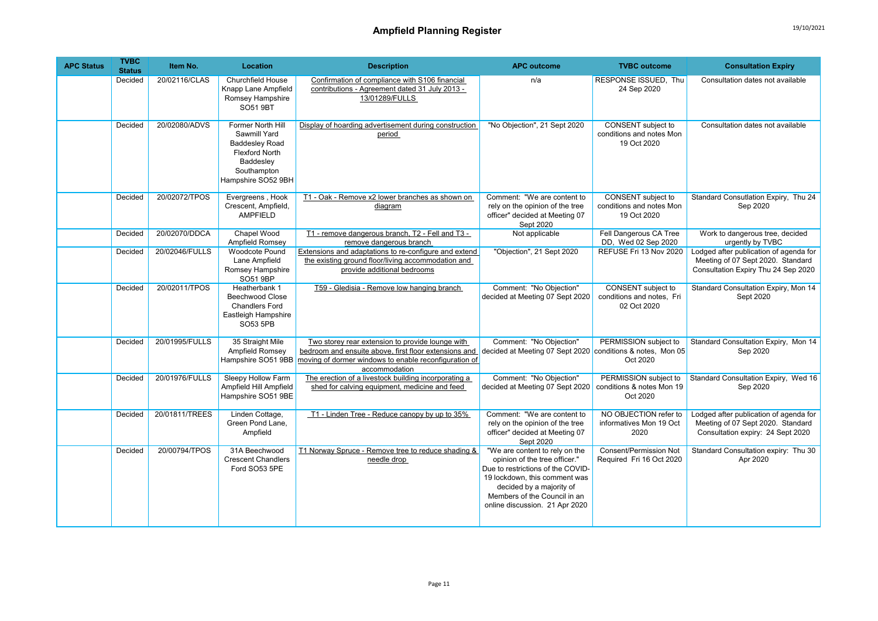| <b>APC Status</b> | <b>TVBC</b><br><b>Status</b> | Item No.       | Location                                                                                                                              | <b>Description</b>                                                                                                                                                                                       | <b>APC outcome</b>                                                                                                                                                                                                                  | <b>TVBC</b> outcome                                             | <b>Consultation Expiry</b>                                                                                         |
|-------------------|------------------------------|----------------|---------------------------------------------------------------------------------------------------------------------------------------|----------------------------------------------------------------------------------------------------------------------------------------------------------------------------------------------------------|-------------------------------------------------------------------------------------------------------------------------------------------------------------------------------------------------------------------------------------|-----------------------------------------------------------------|--------------------------------------------------------------------------------------------------------------------|
|                   | Decided                      | 20/02116/CLAS  | <b>Churchfield House</b><br>Knapp Lane Ampfield<br>Romsey Hampshire<br><b>SO51 9BT</b>                                                | Confirmation of compliance with S106 financial<br>contributions - Agreement dated 31 July 2013 -<br>13/01289/FULLS                                                                                       | n/a                                                                                                                                                                                                                                 | RESPONSE ISSUED, Thu<br>24 Sep 2020                             | Consultation dates not available                                                                                   |
|                   | Decided                      | 20/02080/ADVS  | Former North Hill<br>Sawmill Yard<br><b>Baddesley Road</b><br><b>Flexford North</b><br>Baddeslev<br>Southampton<br>Hampshire SO52 9BH | Display of hoarding advertisement during construction<br>period                                                                                                                                          | "No Objection", 21 Sept 2020                                                                                                                                                                                                        | CONSENT subject to<br>conditions and notes Mon<br>19 Oct 2020   | Consultation dates not available                                                                                   |
|                   | Decided                      | 20/02072/TPOS  | Evergreens, Hook<br>Crescent, Ampfield,<br><b>AMPFIELD</b>                                                                            | T1 - Oak - Remove x2 lower branches as shown on<br>diagram                                                                                                                                               | Comment: "We are content to<br>rely on the opinion of the tree<br>officer" decided at Meeting 07<br>Sept 2020                                                                                                                       | CONSENT subject to<br>conditions and notes Mon<br>19 Oct 2020   | Standard Consutlation Expiry, Thu 24<br>Sep 2020                                                                   |
|                   | Decided                      | 20/02070/DDCA  | Chapel Wood<br>Ampfield Romsey                                                                                                        | T1 - remove dangerous branch, T2 - Fell and T3 -<br>remove dangerous branch                                                                                                                              | Not applicable                                                                                                                                                                                                                      | Fell Dangerous CA Tree<br>DD, Wed 02 Sep 2020                   | Work to dangerous tree, decided<br>urgently by TVBC                                                                |
|                   | Decided                      | 20/02046/FULLS | <b>Woodcote Pound</b><br>Lane Ampfield<br>Romsey Hampshire<br>SO51 9BP                                                                | Extensions and adaptations to re-configure and extend<br>the existing ground floor/living accommodation and<br>provide additional bedrooms                                                               | "Objection", 21 Sept 2020                                                                                                                                                                                                           | REFUSE Fri 13 Nov 2020                                          | Lodged after publication of agenda for<br>Meeting of 07 Sept 2020. Standard<br>Consultation Expiry Thu 24 Sep 2020 |
|                   | Decided                      | 20/02011/TPOS  | Heatherbank 1<br><b>Beechwood Close</b><br><b>Chandlers Ford</b><br>Eastleigh Hampshire<br>SO53 5PB                                   | T59 - Gledisia - Remove low hanging branch                                                                                                                                                               | Comment: "No Objection"<br>decided at Meeting 07 Sept 2020                                                                                                                                                                          | CONSENT subject to<br>conditions and notes, Fri<br>02 Oct 2020  | Standard Consultation Expiry, Mon 14<br>Sept 2020                                                                  |
|                   | Decided                      | 20/01995/FULLS | 35 Straight Mile<br>Ampfield Romsey                                                                                                   | Two storey rear extension to provide lounge with<br>bedroom and ensuite above, first floor extensions and<br>Hampshire SO51 9BB   moving of dormer windows to enable reconfiguration of<br>accommodation | Comment: "No Objection"<br>decided at Meeting 07 Sept 2020                                                                                                                                                                          | PERMISSION subject to<br>conditions & notes, Mon 05<br>Oct 2020 | Standard Consultation Expiry, Mon 14<br>Sep 2020                                                                   |
|                   | Decided                      | 20/01976/FULLS | Sleepy Hollow Farm<br>Ampfield Hill Ampfield<br>Hampshire SO51 9BE                                                                    | The erection of a livestock building incorporating a<br>shed for calving equipment, medicine and feed                                                                                                    | Comment: "No Objection"<br>decided at Meeting 07 Sept 2020                                                                                                                                                                          | PERMISSION subject to<br>conditions & notes Mon 19<br>Oct 2020  | Standard Consultation Expiry, Wed 16<br>Sep 2020                                                                   |
|                   | Decided                      | 20/01811/TREES | Linden Cottage,<br>Green Pond Lane,<br>Ampfield                                                                                       | T1 - Linden Tree - Reduce canopy by up to 35%                                                                                                                                                            | Comment: "We are content to<br>rely on the opinion of the tree<br>officer" decided at Meeting 07<br>Sept 2020                                                                                                                       | NO OBJECTION refer to<br>informatives Mon 19 Oct<br>2020        | Lodged after publication of agenda for<br>Meeting of 07 Sept 2020. Standard<br>Consultation expiry: 24 Sept 2020   |
|                   | Decided                      | 20/00794/TPOS  | 31A Beechwood<br><b>Crescent Chandlers</b><br>Ford SO53 5PE                                                                           | T1 Norway Spruce - Remove tree to reduce shading &<br>needle drop                                                                                                                                        | "We are content to rely on the<br>opinion of the tree officer."<br>Due to restrictions of the COVID-<br>19 lockdown, this comment was<br>decided by a majority of<br>Members of the Council in an<br>online discussion. 21 Apr 2020 | <b>Consent/Permission Not</b><br>Required Fri 16 Oct 2020       | Standard Consultation expiry: Thu 30<br>Apr 2020                                                                   |